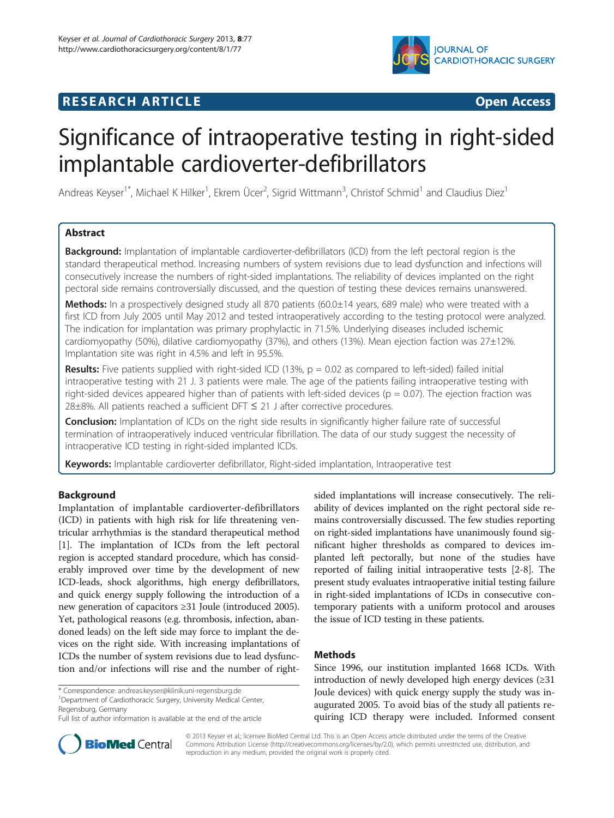# **IOURNAL OF CARDIOTHORACIC SURGERY**

# **RESEARCH ARTICLE Example 2014 CONSIDERING CONSIDERING CONSIDERING CONSIDERING CONSIDERING CONSIDERING CONSIDERING CONSIDERING CONSIDERING CONSIDERING CONSIDERING CONSIDERING CONSIDERING CONSIDERING CONSIDERING CONSIDE**

# Significance of intraoperative testing in right-sided implantable cardioverter-defibrillators

Andreas Keyser<sup>1\*</sup>, Michael K Hilker<sup>1</sup>, Ekrem Ücer<sup>2</sup>, Sigrid Wittmann<sup>3</sup>, Christof Schmid<sup>1</sup> and Claudius Diez<sup>1</sup>

# Abstract

**Background:** Implantation of implantable cardioverter-defibrillators (ICD) from the left pectoral region is the standard therapeutical method. Increasing numbers of system revisions due to lead dysfunction and infections will consecutively increase the numbers of right-sided implantations. The reliability of devices implanted on the right pectoral side remains controversially discussed, and the question of testing these devices remains unanswered.

Methods: In a prospectively designed study all 870 patients (60.0±14 years, 689 male) who were treated with a first ICD from July 2005 until May 2012 and tested intraoperatively according to the testing protocol were analyzed. The indication for implantation was primary prophylactic in 71.5%. Underlying diseases included ischemic cardiomyopathy (50%), dilative cardiomyopathy (37%), and others (13%). Mean ejection faction was 27±12%. Implantation site was right in 4.5% and left in 95.5%.

**Results:** Five patients supplied with right-sided ICD (13%,  $p = 0.02$  as compared to left-sided) failed initial intraoperative testing with 21 J. 3 patients were male. The age of the patients failing intraoperative testing with right-sided devices appeared higher than of patients with left-sided devices ( $p = 0.07$ ). The ejection fraction was  $28\pm8\%$ . All patients reached a sufficient DFT  $\leq$  21 J after corrective procedures.

**Conclusion:** Implantation of ICDs on the right side results in significantly higher failure rate of successful termination of intraoperatively induced ventricular fibrillation. The data of our study suggest the necessity of intraoperative ICD testing in right-sided implanted ICDs.

Keywords: Implantable cardioverter defibrillator, Right-sided implantation, Intraoperative test

# Background

Implantation of implantable cardioverter-defibrillators (ICD) in patients with high risk for life threatening ventricular arrhythmias is the standard therapeutical method [[1\]](#page-4-0). The implantation of ICDs from the left pectoral region is accepted standard procedure, which has considerably improved over time by the development of new ICD-leads, shock algorithms, high energy defibrillators, and quick energy supply following the introduction of a new generation of capacitors ≥31 Joule (introduced 2005). Yet, pathological reasons (e.g. thrombosis, infection, abandoned leads) on the left side may force to implant the devices on the right side. With increasing implantations of ICDs the number of system revisions due to lead dysfunction and/or infections will rise and the number of right-

Department of Cardiothoracic Surgery, University Medical Center, Regensburg, Germany

sided implantations will increase consecutively. The reliability of devices implanted on the right pectoral side remains controversially discussed. The few studies reporting on right-sided implantations have unanimously found significant higher thresholds as compared to devices implanted left pectorally, but none of the studies have reported of failing initial intraoperative tests [\[2](#page-4-0)-[8\]](#page-4-0). The present study evaluates intraoperative initial testing failure in right-sided implantations of ICDs in consecutive contemporary patients with a uniform protocol and arouses the issue of ICD testing in these patients.

# **Methods**

Since 1996, our institution implanted 1668 ICDs. With introduction of newly developed high energy devices (≥31 Joule devices) with quick energy supply the study was inaugurated 2005. To avoid bias of the study all patients requiring ICD therapy were included. Informed consent



© 2013 Keyser et al.; licensee BioMed Central Ltd. This is an Open Access article distributed under the terms of the Creative Commons Attribution License [\(http://creativecommons.org/licenses/by/2.0\)](http://creativecommons.org/licenses/by/2.0), which permits unrestricted use, distribution, and reproduction in any medium, provided the original work is properly cited.

<sup>\*</sup> Correspondence: [andreas.keyser@klinik.uni-regensburg.de](mailto:andreas.keyser@klinik.uni-regensburg.de) <sup>1</sup>

Full list of author information is available at the end of the article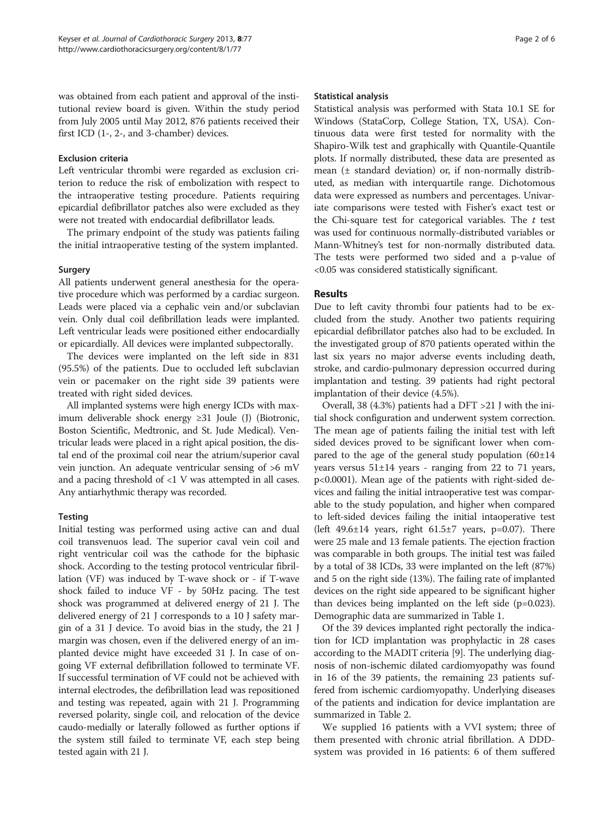was obtained from each patient and approval of the institutional review board is given. Within the study period from July 2005 until May 2012, 876 patients received their first ICD (1-, 2-, and 3-chamber) devices.

#### Exclusion criteria

Left ventricular thrombi were regarded as exclusion criterion to reduce the risk of embolization with respect to the intraoperative testing procedure. Patients requiring epicardial defibrillator patches also were excluded as they were not treated with endocardial defibrillator leads.

The primary endpoint of the study was patients failing the initial intraoperative testing of the system implanted.

# Surgery

All patients underwent general anesthesia for the operative procedure which was performed by a cardiac surgeon. Leads were placed via a cephalic vein and/or subclavian vein. Only dual coil defibrillation leads were implanted. Left ventricular leads were positioned either endocardially or epicardially. All devices were implanted subpectorally.

The devices were implanted on the left side in 831 (95.5%) of the patients. Due to occluded left subclavian vein or pacemaker on the right side 39 patients were treated with right sided devices.

All implanted systems were high energy ICDs with maximum deliverable shock energy ≥31 Joule (J) (Biotronic, Boston Scientific, Medtronic, and St. Jude Medical). Ventricular leads were placed in a right apical position, the distal end of the proximal coil near the atrium/superior caval vein junction. An adequate ventricular sensing of >6 mV and a pacing threshold of <1 V was attempted in all cases. Any antiarhythmic therapy was recorded.

# **Testing**

Initial testing was performed using active can and dual coil transvenuos lead. The superior caval vein coil and right ventricular coil was the cathode for the biphasic shock. According to the testing protocol ventricular fibrillation (VF) was induced by T-wave shock or - if T-wave shock failed to induce VF - by 50Hz pacing. The test shock was programmed at delivered energy of 21 J. The delivered energy of 21 J corresponds to a 10 J safety margin of a 31 J device. To avoid bias in the study, the 21 J margin was chosen, even if the delivered energy of an implanted device might have exceeded 31 J. In case of ongoing VF external defibrillation followed to terminate VF. If successful termination of VF could not be achieved with internal electrodes, the defibrillation lead was repositioned and testing was repeated, again with 21 J. Programming reversed polarity, single coil, and relocation of the device caudo-medially or laterally followed as further options if the system still failed to terminate VF, each step being tested again with 21 J.

#### Statistical analysis

Statistical analysis was performed with Stata 10.1 SE for Windows (StataCorp, College Station, TX, USA). Continuous data were first tested for normality with the Shapiro-Wilk test and graphically with Quantile-Quantile plots. If normally distributed, these data are presented as mean  $(\pm$  standard deviation) or, if non-normally distributed, as median with interquartile range. Dichotomous data were expressed as numbers and percentages. Univariate comparisons were tested with Fisher's exact test or the Chi-square test for categorical variables. The  $t$  test was used for continuous normally-distributed variables or Mann-Whitney's test for non-normally distributed data. The tests were performed two sided and a p-value of <0.05 was considered statistically significant.

# Results

Due to left cavity thrombi four patients had to be excluded from the study. Another two patients requiring epicardial defibrillator patches also had to be excluded. In the investigated group of 870 patients operated within the last six years no major adverse events including death, stroke, and cardio-pulmonary depression occurred during implantation and testing. 39 patients had right pectoral implantation of their device (4.5%).

Overall, 38 (4.3%) patients had a DFT >21 J with the initial shock configuration and underwent system correction. The mean age of patients failing the initial test with left sided devices proved to be significant lower when compared to the age of the general study population  $(60\pm14)$ years versus 51±14 years - ranging from 22 to 71 years, p<0.0001). Mean age of the patients with right-sided devices and failing the initial intraoperative test was comparable to the study population, and higher when compared to left-sided devices failing the initial intaoperative test (left  $49.6\pm14$  years, right  $61.5\pm7$  years, p=0.07). There were 25 male and 13 female patients. The ejection fraction was comparable in both groups. The initial test was failed by a total of 38 ICDs, 33 were implanted on the left (87%) and 5 on the right side (13%). The failing rate of implanted devices on the right side appeared to be significant higher than devices being implanted on the left side (p=0.023). Demographic data are summarized in Table [1](#page-2-0).

Of the 39 devices implanted right pectorally the indication for ICD implantation was prophylactic in 28 cases according to the MADIT criteria [[9](#page-4-0)]. The underlying diagnosis of non-ischemic dilated cardiomyopathy was found in 16 of the 39 patients, the remaining 23 patients suffered from ischemic cardiomyopathy. Underlying diseases of the patients and indication for device implantation are summarized in Table [2.](#page-2-0)

We supplied 16 patients with a VVI system; three of them presented with chronic atrial fibrillation. A DDDsystem was provided in 16 patients: 6 of them suffered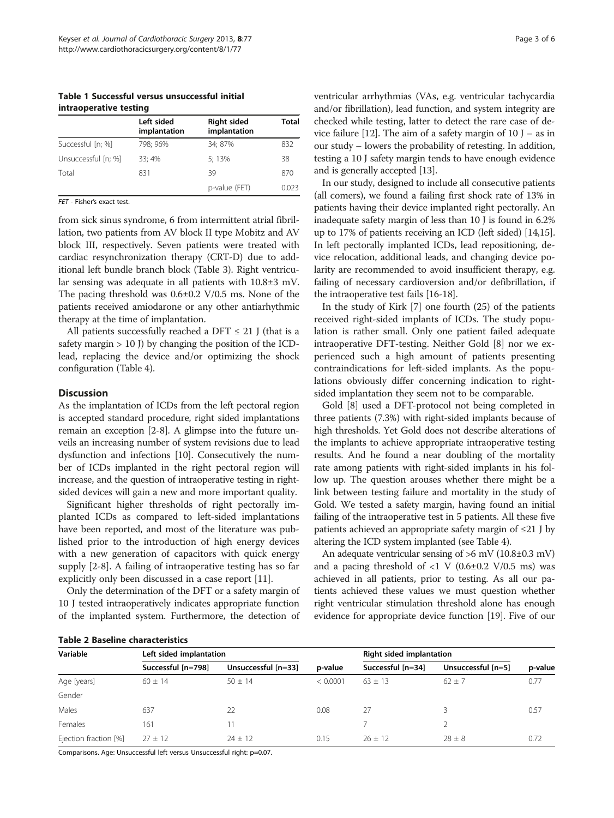<span id="page-2-0"></span>Table 1 Successful versus unsuccessful initial intraoperative testing

|                     | Left sided<br>implantation | <b>Right sided</b><br>implantation | <b>Total</b> |  |
|---------------------|----------------------------|------------------------------------|--------------|--|
| Successful [n; %]   | 798; 96%                   | 34: 87%                            | 832          |  |
| Unsuccessful [n; %] | 33; 4%                     | 5:13%                              | 38           |  |
| Total               | 831                        | 39                                 | 870          |  |
|                     |                            | p-value (FET)                      | 0.023        |  |

FET - Fisher's exact test.

from sick sinus syndrome, 6 from intermittent atrial fibrillation, two patients from AV block II type Mobitz and AV block III, respectively. Seven patients were treated with cardiac resynchronization therapy (CRT-D) due to additional left bundle branch block (Table [3](#page-3-0)). Right ventricular sensing was adequate in all patients with 10.8±3 mV. The pacing threshold was 0.6±0.2 V/0.5 ms. None of the patients received amiodarone or any other antiarhythmic therapy at the time of implantation.

All patients successfully reached a DFT  $\leq$  21 J (that is a safety margin  $> 10$  J) by changing the position of the ICDlead, replacing the device and/or optimizing the shock configuration (Table [4](#page-3-0)).

#### **Discussion**

As the implantation of ICDs from the left pectoral region is accepted standard procedure, right sided implantations remain an exception [[2-8\]](#page-4-0). A glimpse into the future unveils an increasing number of system revisions due to lead dysfunction and infections [[10](#page-4-0)]. Consecutively the number of ICDs implanted in the right pectoral region will increase, and the question of intraoperative testing in rightsided devices will gain a new and more important quality.

Significant higher thresholds of right pectorally implanted ICDs as compared to left-sided implantations have been reported, and most of the literature was published prior to the introduction of high energy devices with a new generation of capacitors with quick energy supply [\[2](#page-4-0)-[8\]](#page-4-0). A failing of intraoperative testing has so far explicitly only been discussed in a case report [[11\]](#page-4-0).

Only the determination of the DFT or a safety margin of 10 J tested intraoperatively indicates appropriate function of the implanted system. Furthermore, the detection of

Table 2 Baseline characteristics

ventricular arrhythmias (VAs, e.g. ventricular tachycardia and/or fibrillation), lead function, and system integrity are checked while testing, latter to detect the rare case of de-vice failure [\[12\]](#page-4-0). The aim of a safety margin of  $10$  J – as in our study – lowers the probability of retesting. In addition, testing a 10 J safety margin tends to have enough evidence and is generally accepted [[13](#page-4-0)].

In our study, designed to include all consecutive patients (all comers), we found a failing first shock rate of 13% in patients having their device implanted right pectorally. An inadequate safety margin of less than 10 J is found in 6.2% up to 17% of patients receiving an ICD (left sided) [\[14,15](#page-5-0)]. In left pectorally implanted ICDs, lead repositioning, device relocation, additional leads, and changing device polarity are recommended to avoid insufficient therapy, e.g. failing of necessary cardioversion and/or defibrillation, if the intraoperative test fails [\[16-18](#page-5-0)].

In the study of Kirk [\[7](#page-4-0)] one fourth (25) of the patients received right-sided implants of ICDs. The study population is rather small. Only one patient failed adequate intraoperative DFT-testing. Neither Gold [\[8](#page-4-0)] nor we experienced such a high amount of patients presenting contraindications for left-sided implants. As the populations obviously differ concerning indication to rightsided implantation they seem not to be comparable.

Gold [[8](#page-4-0)] used a DFT-protocol not being completed in three patients (7.3%) with right-sided implants because of high thresholds. Yet Gold does not describe alterations of the implants to achieve appropriate intraoperative testing results. And he found a near doubling of the mortality rate among patients with right-sided implants in his follow up. The question arouses whether there might be a link between testing failure and mortality in the study of Gold. We tested a safety margin, having found an initial failing of the intraoperative test in 5 patients. All these five patients achieved an appropriate safety margin of ≤21 J by altering the ICD system implanted (see Table [4](#page-3-0)).

An adequate ventricular sensing of  $>6$  mV (10.8 $\pm$ 0.3 mV) and a pacing threshold of  $\langle 1 \rangle$  V (0.6 $\pm$ 0.2 V/0.5 ms) was achieved in all patients, prior to testing. As all our patients achieved these values we must question whether right ventricular stimulation threshold alone has enough evidence for appropriate device function [[19](#page-5-0)]. Five of our

| IMMIS & DUJSIIIS SHUIUSSSIIJSISJ |                         |                     |          |                                 |                    |         |  |
|----------------------------------|-------------------------|---------------------|----------|---------------------------------|--------------------|---------|--|
| Variable                         | Left sided implantation |                     |          | <b>Right sided implantation</b> |                    |         |  |
|                                  | Successful [n=798]      | Unsuccessful [n=33] | p-value  | Successful [n=34]               | Unsuccessful [n=5] | p-value |  |
| Age [years]                      | $60 \pm 14$             | $50 + 14$           | < 0.0001 | $63 \pm 13$                     | $62 \pm 7$         | 0.77    |  |
| Gender                           |                         |                     |          |                                 |                    |         |  |
| Males                            | 637                     | 22                  | 0.08     | 27                              |                    | 0.57    |  |
| Females                          | 161                     | 11                  |          |                                 |                    |         |  |
| Ejection fraction [%]            | $27 + 12$               | $24 + 12$           | 0.15     | $26 + 12$                       | $28 + 8$           | 0.72    |  |

Comparisons. Age: Unsuccessful left versus Unsuccessful right: p=0.07.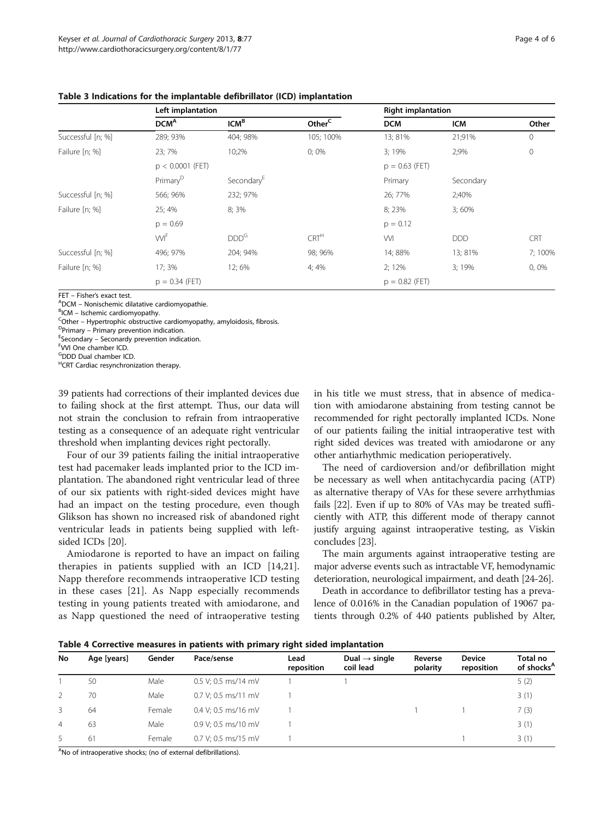|                   | Left implantation    |                        |                    | <b>Right implantation</b> |            |              |  |
|-------------------|----------------------|------------------------|--------------------|---------------------------|------------|--------------|--|
|                   | DCM <sup>A</sup>     | ICM <sup>B</sup>       | Other <sup>C</sup> | <b>DCM</b>                | <b>ICM</b> | Other        |  |
| Successful [n; %] | 289; 93%             | 404; 98%               | 105; 100%          | 13; 81%                   | 21;91%     | $\mathbf{0}$ |  |
| Failure [n; %]    | 23;7%                | 10:2%                  | $0;0\%$            | 3;19%                     | 2:9%       | $\mathbf{0}$ |  |
|                   | $p < 0.0001$ (FET)   |                        |                    | $p = 0.63$ (FET)          |            |              |  |
|                   | Primary <sup>D</sup> | Secondary <sup>E</sup> |                    | Primary                   | Secondary  |              |  |
| Successful [n; %] | 566; 96%             | 232; 97%               |                    | 26; 77%                   | 2;40%      |              |  |
| Failure [n; %]    | 25:4%                | 8;3%                   |                    | 8; 23%                    | 3;60%      |              |  |
|                   | $p = 0.69$           |                        |                    | $p = 0.12$                |            |              |  |
|                   | <b>WF</b>            | DDD <sup>G</sup>       | CRT <sup>H</sup>   | WI                        | <b>DDD</b> | <b>CRT</b>   |  |
| Successful [n; %] | 496; 97%             | 204; 94%               | 98; 96%            | 14; 88%                   | 13; 81%    | 7;100%       |  |
| Failure [n; %]    | 17:3%                | 12; 6%                 | 4;4%               | $2:12\%$                  | 3:19%      | 0,0%         |  |
|                   | $p = 0.34$ (FET)     |                        |                    | $p = 0.82$ (FET)          |            |              |  |

<span id="page-3-0"></span>Table 3 Indications for the implantable defibrillator (ICD) implantation

 $FFT - Fisher's exact test.$ 

 $A$ DCM – Nonischemic dilatative cardiomyopathie.

 $B$ ICM – Ischemic cardiomyopathy.

Cother – Hypertrophic obstructive cardiomyopathy, amyloidosis, fibrosis.

 $P$ Primary – Primary prevention indication.

 $E$ Secondary – Seconardy prevention indication.

<sup>F</sup>VVI One chamber ICD.

G DDD Dual chamber ICD.

H CRT Cardiac resynchronization therapy.

39 patients had corrections of their implanted devices due to failing shock at the first attempt. Thus, our data will not strain the conclusion to refrain from intraoperative testing as a consequence of an adequate right ventricular threshold when implanting devices right pectorally.

Four of our 39 patients failing the initial intraoperative test had pacemaker leads implanted prior to the ICD implantation. The abandoned right ventricular lead of three of our six patients with right-sided devices might have had an impact on the testing procedure, even though Glikson has shown no increased risk of abandoned right ventricular leads in patients being supplied with leftsided ICDs [[20\]](#page-5-0).

Amiodarone is reported to have an impact on failing therapies in patients supplied with an ICD [[14,21](#page-5-0)]. Napp therefore recommends intraoperative ICD testing in these cases [[21\]](#page-5-0). As Napp especially recommends testing in young patients treated with amiodarone, and as Napp questioned the need of intraoperative testing in his title we must stress, that in absence of medication with amiodarone abstaining from testing cannot be recommended for right pectorally implanted ICDs. None of our patients failing the initial intraoperative test with right sided devices was treated with amiodarone or any other antiarhythmic medication perioperatively.

The need of cardioversion and/or defibrillation might be necessary as well when antitachycardia pacing (ATP) as alternative therapy of VAs for these severe arrhythmias fails [\[22\]](#page-5-0). Even if up to 80% of VAs may be treated sufficiently with ATP, this different mode of therapy cannot justify arguing against intraoperative testing, as Viskin concludes [\[23](#page-5-0)].

The main arguments against intraoperative testing are major adverse events such as intractable VF, hemodynamic deterioration, neurological impairment, and death [\[24-26](#page-5-0)].

Death in accordance to defibrillator testing has a prevalence of 0.016% in the Canadian population of 19067 patients through 0.2% of 440 patients published by Alter,

| No | Age [years] | Gender | Pace/sense            | Lead<br>reposition | Dual $\rightarrow$ single<br>coil lead | Reverse<br>polarity | <b>Device</b><br>reposition | Total no<br>of shocks <sup>p</sup> |
|----|-------------|--------|-----------------------|--------------------|----------------------------------------|---------------------|-----------------------------|------------------------------------|
|    | 50          | Male   | 0.5 V; 0.5 ms/14 mV   |                    |                                        |                     |                             | 5(2)                               |
|    | 70          | Male   | $0.7$ V: 0.5 ms/11 mV |                    |                                        |                     |                             | 3(1)                               |
| 3  | 64          | Female | 0.4 V; 0.5 ms/16 mV   |                    |                                        |                     |                             | 7(3)                               |
| 4  | 63          | Male   | 0.9 V; 0.5 ms/10 mV   |                    |                                        |                     |                             | 3(1)                               |
| 5. | 61          | Female | 0.7 V; 0.5 ms/15 mV   |                    |                                        |                     |                             | 3(1)                               |

Table 4 Corrective measures in patients with primary right sided implantation

<sup>A</sup>No of intraoperative shocks; (no of external defibrillations).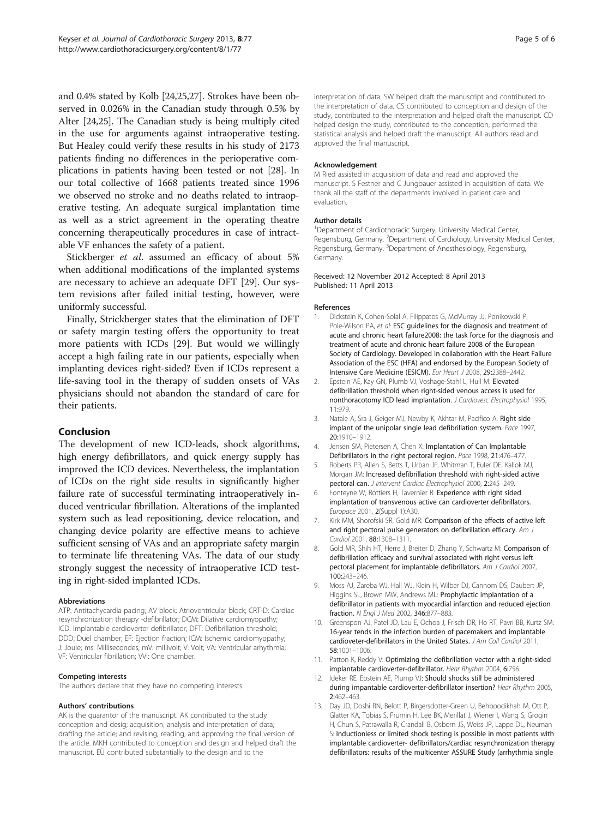<span id="page-4-0"></span>and 0.4% stated by Kolb [\[24,25,27](#page-5-0)]. Strokes have been observed in 0.026% in the Canadian study through 0.5% by Alter [[24,25](#page-5-0)]. The Canadian study is being multiply cited in the use for arguments against intraoperative testing. But Healey could verify these results in his study of 2173 patients finding no differences in the perioperative complications in patients having been tested or not [[28](#page-5-0)]. In our total collective of 1668 patients treated since 1996 we observed no stroke and no deaths related to intraoperative testing. An adequate surgical implantation time as well as a strict agreement in the operating theatre concerning therapeutically procedures in case of intractable VF enhances the safety of a patient.

Stickberger et al. assumed an efficacy of about 5% when additional modifications of the implanted systems are necessary to achieve an adequate DFT [[29\]](#page-5-0). Our system revisions after failed initial testing, however, were uniformly successful.

Finally, Strickberger states that the elimination of DFT or safety margin testing offers the opportunity to treat more patients with ICDs [\[29](#page-5-0)]. But would we willingly accept a high failing rate in our patients, especially when implanting devices right-sided? Even if ICDs represent a life-saving tool in the therapy of sudden onsets of VAs physicians should not abandon the standard of care for their patients.

# Conclusion

The development of new ICD-leads, shock algorithms, high energy defibrillators, and quick energy supply has improved the ICD devices. Nevertheless, the implantation of ICDs on the right side results in significantly higher failure rate of successful terminating intraoperatively induced ventricular fibrillation. Alterations of the implanted system such as lead repositioning, device relocation, and changing device polarity are effective means to achieve sufficient sensing of VAs and an appropriate safety margin to terminate life threatening VAs. The data of our study strongly suggest the necessity of intraoperative ICD testing in right-sided implanted ICDs.

#### Abbreviations

ATP: Antitachycardia pacing; AV block: Atrioventricular block; CRT-D: Cardiac resynchronization therapy -defibrillator; DCM: Dilative cardiomyopathy; ICD: Implantable cardioverter defibrillator; DFT: Defibrillation threshold; DDD: Duel chamber; EF: Ejection fraction; ICM: Ischemic cardiomyopathy; J: Joule; ms: Millisecondes; mV: millivolt; V: Volt; VA: Ventricular arhythmia; VF: Ventricular fibrillation; VVI: One chamber.

#### Competing interests

The authors declare that they have no competing interests.

#### Authors' contributions

AK is the guarantor of the manuscript. AK contributed to the study conception and desig; acquisition, analysis and interpretation of data; drafting the article; and revising, reading, and approving the final version of the article. MKH contributed to conception and design and helped draft the manuscript. EÜ contributed substantially to the design and to the

interpretation of data. SW helped draft the manuscript and contributed to the interpretation of data. CS contributed to conception and design of the study, contributed to the interpretation and helped draft the manuscript. CD helped design the study, contributed to the conception, performed the statistical analysis and helped draft the manuscript. All authors read and approved the final manuscript.

#### Acknowledgement

M Ried assisted in acquisition of data and read and approved the manuscript. S Festner and C Jungbauer assisted in acquisition of data. We thank all the staff of the departments involved in patient care and evaluation.

#### Author details

<sup>1</sup>Department of Cardiothoracic Surgery, University Medical Center, Regensburg, Germany. <sup>2</sup> Department of Cardiology, University Medical Center Regensburg, Germany. <sup>3</sup>Department of Anesthesiology, Regensburg, Germany.

#### Received: 12 November 2012 Accepted: 8 April 2013 Published: 11 April 2013

#### References

- 1. Dickstein K, Cohen-Solal A, Filippatos G, McMurray JJ, Ponikowski P, Pole-Wilson PA, et al: **ESC quidelines for the diagnosis and treatment of** acute and chronic heart failure2008: the task force for the diagnosis and treatment of acute and chronic heart failure 2008 of the European Society of Cardiology. Developed in collaboration with the Heart Failure Association of the ESC (HFA) and endorsed by the European Society of Intensive Care Medicine (ESICM). Eur Heart J 2008, 29:2388–2442.
- 2. Epstein AE, Kay GN, Plumb VJ, Voshage-Stahl L, Hull M: Elevated defibrillation threshold when right-sided venous access is used for nonthoracotomy ICD lead implantation. J Cardiovesc Electrophysiol 1995, 11:979.
- 3. Natale A, Sra J, Geiger MJ, Newby K, Akhtar M, Pacifico A: Right side implant of the unipolar single lead defibrillation system. Pace 1997, 20:1910–1912.
- 4. Jensen SM, Pietersen A, Chen X: Implantation of Can Implantable Defibrillators in the right pectoral region. Pace 1998, 21:476–477.
- 5. Roberts PR, Allen S, Betts T, Urban JF, Whitman T, Euler DE, Kallok MJ, Morgan JM: Increased defibrillation threshold with right-sided active pectoral can. J Intervent Cardiac Electrophysiol 2000, 2:245–249.
- 6. Fonteyne W, Rottiers H, Tavernier R: Experience with right sided implantation of transvenous active can cardioverter defibrillators. Europace 2001, 2(Suppl 1):A30.
- 7. Kirk MM, Shorofski SR, Gold MR: Comparison of the effects of active left and right pectoral pulse generators on defibrillation efficacy. Am J Cardiol 2001, 88:1308–1311.
- 8. Gold MR, Shih HT, Herre J, Breiter D, Zhang Y, Schwartz M: Comparison of defibrillation efficacy and survival associated with right versus left pectoral placement for implantable defibrillators. Am J Cardiol 2007, 100:243–246.
- 9. Moss AJ, Zareba WJ, Hall WJ, Klein H, Wilber DJ, Cannom DS, Daubert JP, Higgins SL, Brown MW, Andrews ML: Prophylactic implantation of a defibrillator in patients with myocardial infarction and reduced ejection fraction. N Engl J Med 2002, 346:877–883.
- 10. Greenspon AJ, Patel JD, Lau E, Ochoa J, Frisch DR, Ho RT, Pavri BB, Kurtz SM: 16-year tends in the infection burden of pacemakers and implantable cardioveter-defibrillators in the United States. J Am Coll Cardiol 2011, 58:1001–1006.
- 11. Patton K, Reddy V: Optimizing the defibrillation vector with a right-sided implantable cardioverter-defibrillator. Hear Rhythm 2004, 6:756.
- 12. Ideker RE, Epstein AE, Plump VJ: Should shocks still be administered during impantable cardioverter-defibrillator insertion? Hear Rhythm 2005, 2:462–463.
- 13. Day JD, Doshi RN, Belott P, Birgersdotter-Green U, Behboodikhah M, Ott P, Glatter KA, Tobias S, Frumin H, Lee BK, Merillat J, Wiener I, Wang S, Grogin H, Chun S, Patrawalla R, Crandall B, Osborn JS, Weiss JP, Lappe DL, Neuman S: Inductionless or limited shock testing is possible in most patients with implantable cardioverter- defibrillators/cardiac resynchronization therapy defibrillators: results of the multicenter ASSURE Study (arrhythmia single